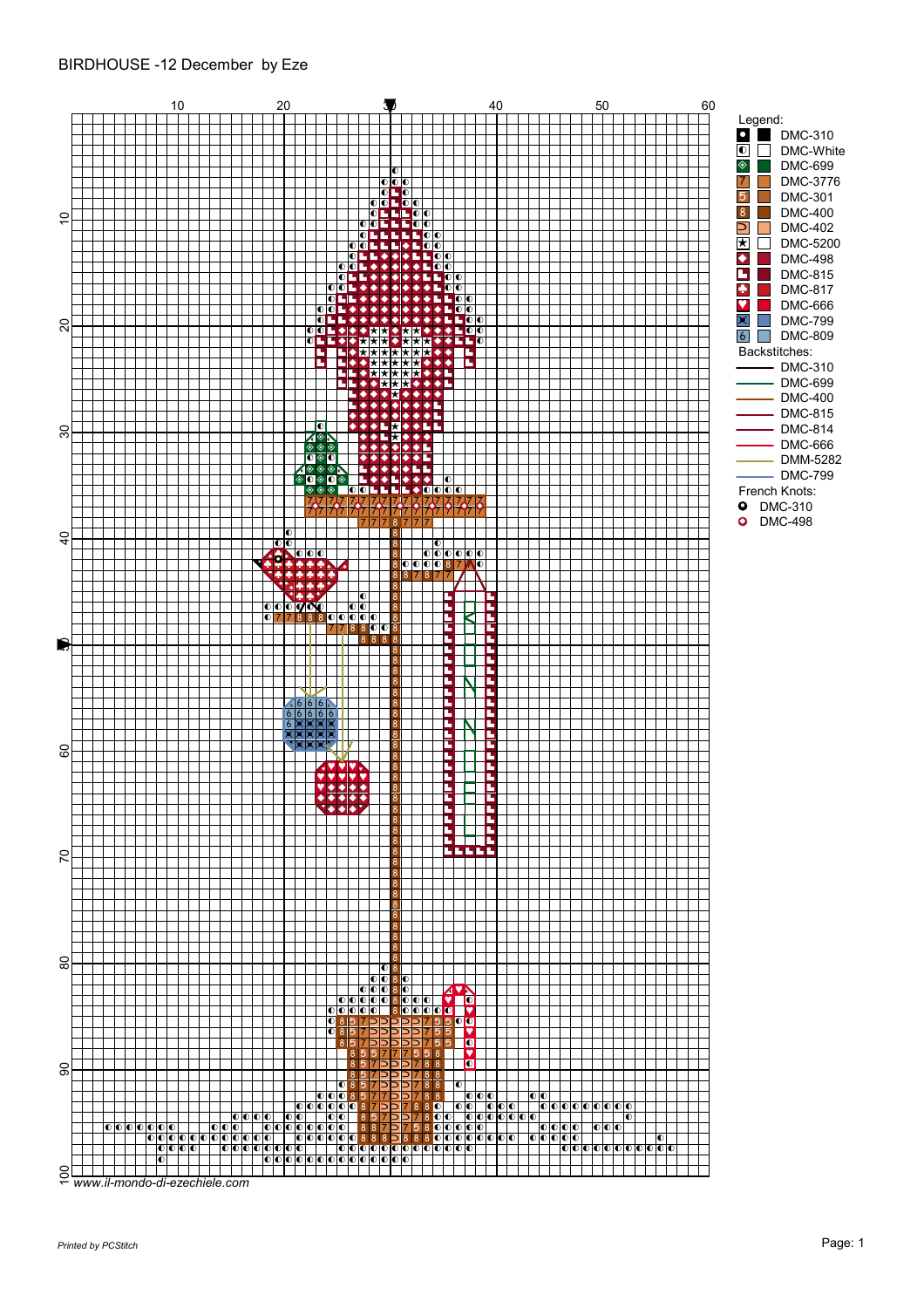## BIRDHOUSE -12 December by Eze